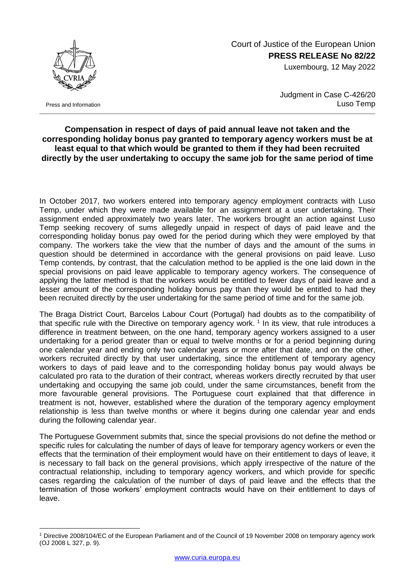

Press and Information

1

 Court of Justice of the European Union **PRESS RELEASE No 82/22**

Luxembourg, 12 May 2022

Judgment in Case C-426/20 Luso Temp

## **Compensation in respect of days of paid annual leave not taken and the corresponding holiday bonus pay granted to temporary agency workers must be at least equal to that which would be granted to them if they had been recruited directly by the user undertaking to occupy the same job for the same period of time**

In October 2017, two workers entered into temporary agency employment contracts with Luso Temp, under which they were made available for an assignment at a user undertaking. Their assignment ended approximately two years later. The workers brought an action against Luso Temp seeking recovery of sums allegedly unpaid in respect of days of paid leave and the corresponding holiday bonus pay owed for the period during which they were employed by that company. The workers take the view that the number of days and the amount of the sums in question should be determined in accordance with the general provisions on paid leave. Luso Temp contends, by contrast, that the calculation method to be applied is the one laid down in the special provisions on paid leave applicable to temporary agency workers. The consequence of applying the latter method is that the workers would be entitled to fewer days of paid leave and a lesser amount of the corresponding holiday bonus pay than they would be entitled to had they been recruited directly by the user undertaking for the same period of time and for the same job.

The Braga District Court, Barcelos Labour Court (Portugal) had doubts as to the compatibility of that specific rule with the Directive on temporary agency work.<sup>1</sup> In its view, that rule introduces a difference in treatment between, on the one hand, temporary agency workers assigned to a user undertaking for a period greater than or equal to twelve months or for a period beginning during one calendar year and ending only two calendar years or more after that date, and on the other, workers recruited directly by that user undertaking, since the entitlement of temporary agency workers to days of paid leave and to the corresponding holiday bonus pay would always be calculated pro rata to the duration of their contract, whereas workers directly recruited by that user undertaking and occupying the same job could, under the same circumstances, benefit from the more favourable general provisions. The Portuguese court explained that that difference in treatment is not, however, established where the duration of the temporary agency employment relationship is less than twelve months or where it begins during one calendar year and ends during the following calendar year.

The Portuguese Government submits that, since the special provisions do not define the method or specific rules for calculating the number of days of leave for temporary agency workers or even the effects that the termination of their employment would have on their entitlement to days of leave, it is necessary to fall back on the general provisions, which apply irrespective of the nature of the contractual relationship, including to temporary agency workers, and which provide for specific cases regarding the calculation of the number of days of paid leave and the effects that the termination of those workers' employment contracts would have on their entitlement to days of leave.

<sup>1</sup> Directive 2008/104/EC of the European Parliament and of the Council of 19 November 2008 on temporary agency work (OJ 2008 L 327, p. 9).